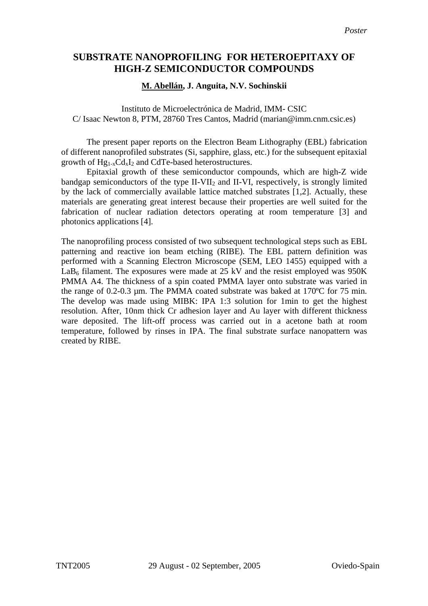## **SUBSTRATE NANOPROFILING FOR HETEROEPITAXY OF HIGH-Z SEMICONDUCTOR COMPOUNDS**

## **M. Abellán, J. Anguita, N.V. Sochinskii**

Instituto de Microelectrónica de Madrid, IMM- CSIC C/ Isaac Newton 8, PTM, 28760 Tres Cantos, Madrid (marian@imm.cnm.csic.es)

The present paper reports on the Electron Beam Lithography (EBL) fabrication of different nanoprofiled substrates (Si, sapphire, glass, etc.) for the subsequent epitaxial growth of Hg1-xCdxI2 and CdTe-based heterostructures.

Epitaxial growth of these semiconductor compounds, which are high-Z wide bandgap semiconductors of the type  $II-VII_2$  and  $II-VI$ , respectively, is strongly limited by the lack of commercially available lattice matched substrates [1,2]. Actually, these materials are generating great interest because their properties are well suited for the fabrication of nuclear radiation detectors operating at room temperature [3] and photonics applications [4].

The nanoprofiling process consisted of two subsequent technological steps such as EBL patterning and reactive ion beam etching (RIBE). The EBL pattern definition was performed with a Scanning Electron Microscope (SEM, LEO 1455) equipped with a  $LaB<sub>6</sub> filament. The exposures were made at 25 kV and the resist employed was 950K.$ PMMA A4. The thickness of a spin coated PMMA layer onto substrate was varied in the range of 0.2-0.3 µm. The PMMA coated substrate was baked at 170ºC for 75 min. The develop was made using MIBK: IPA 1:3 solution for 1min to get the highest resolution. After, 10nm thick Cr adhesion layer and Au layer with different thickness ware deposited. The lift-off process was carried out in a acetone bath at room temperature, followed by rinses in IPA. The final substrate surface nanopattern was created by RIBE.